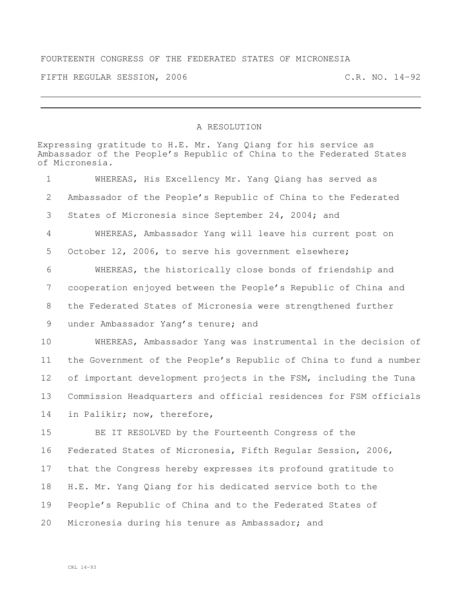## FOURTEENTH CONGRESS OF THE FEDERATED STATES OF MICRONESIA

FIFTH REGULAR SESSION, 2006 C.R. NO. 14-92

## A RESOLUTION

|                 | Expressing gratitude to H.E. Mr. Yang Qiang for his service as<br>Ambassador of the People's Republic of China to the Federated States<br>of Micronesia. |
|-----------------|----------------------------------------------------------------------------------------------------------------------------------------------------------|
| 1               | WHEREAS, His Excellency Mr. Yang Qiang has served as                                                                                                     |
| 2               | Ambassador of the People's Republic of China to the Federated                                                                                            |
| 3               | States of Micronesia since September 24, 2004; and                                                                                                       |
| $\overline{4}$  | WHEREAS, Ambassador Yang will leave his current post on                                                                                                  |
| 5               | October 12, 2006, to serve his government elsewhere;                                                                                                     |
| 6               | WHEREAS, the historically close bonds of friendship and                                                                                                  |
| $7\phantom{.0}$ | cooperation enjoyed between the People's Republic of China and                                                                                           |
| 8               | the Federated States of Micronesia were strengthened further                                                                                             |
| 9               | under Ambassador Yang's tenure; and                                                                                                                      |
| 10              | WHEREAS, Ambassador Yang was instrumental in the decision of                                                                                             |
| 11              | the Government of the People's Republic of China to fund a number                                                                                        |
| 12 <sup>°</sup> | of important development projects in the FSM, including the Tuna                                                                                         |
| 13              | Commission Headquarters and official residences for FSM officials                                                                                        |
| 14              | in Palikir; now, therefore,                                                                                                                              |
| 15              | BE IT RESOLVED by the Fourteenth Congress of the                                                                                                         |
| 16              | Federated States of Micronesia, Fifth Regular Session, 2006,                                                                                             |
| 17              | that the Congress hereby expresses its profound gratitude to                                                                                             |
| 18              | H.E. Mr. Yang Qiang for his dedicated service both to the                                                                                                |
| 19              | People's Republic of China and to the Federated States of                                                                                                |
| 20              | Micronesia during his tenure as Ambassador; and                                                                                                          |